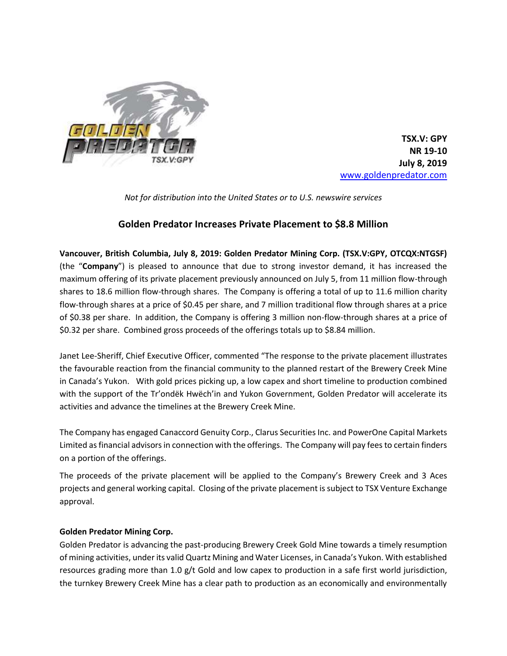

**TSX.V: GPY NR 19-10 July 8, 2019** www.goldenpredator.com

*Not for distribution into the United States or to U.S. newswire services*

## **Golden Predator Increases Private Placement to \$8.8 Million**

**Vancouver, British Columbia, July 8, 2019: Golden Predator Mining Corp. (TSX.V:GPY, OTCQX:NTGSF)**  (the "**Company**") is pleased to announce that due to strong investor demand, it has increased the maximum offering of its private placement previously announced on July 5, from 11 million flow-through shares to 18.6 million flow-through shares. The Company is offering a total of up to 11.6 million charity flow-through shares at a price of \$0.45 per share, and 7 million traditional flow through shares at a price of \$0.38 per share. In addition, the Company is offering 3 million non-flow-through shares at a price of \$0.32 per share. Combined gross proceeds of the offerings totals up to \$8.84 million.

Janet Lee-Sheriff, Chief Executive Officer, commented "The response to the private placement illustrates the favourable reaction from the financial community to the planned restart of the Brewery Creek Mine in Canada's Yukon. With gold prices picking up, a low capex and short timeline to production combined with the support of the Tr'ondëk Hwëch'in and Yukon Government, Golden Predator will accelerate its activities and advance the timelines at the Brewery Creek Mine.

The Company has engaged Canaccord Genuity Corp., Clarus Securities Inc. and PowerOne Capital Markets Limited as financial advisors in connection with the offerings. The Company will pay fees to certain finders on a portion of the offerings.

The proceeds of the private placement will be applied to the Company's Brewery Creek and 3 Aces projects and general working capital. Closing of the private placement is subject to TSX Venture Exchange approval.

## **Golden Predator Mining Corp.**

Golden Predator is advancing the past-producing Brewery Creek Gold Mine towards a timely resumption of mining activities, under its valid Quartz Mining and Water Licenses, in Canada's Yukon. With established resources grading more than 1.0 g/t Gold and low capex to production in a safe first world jurisdiction, the turnkey Brewery Creek Mine has a clear path to production as an economically and environmentally